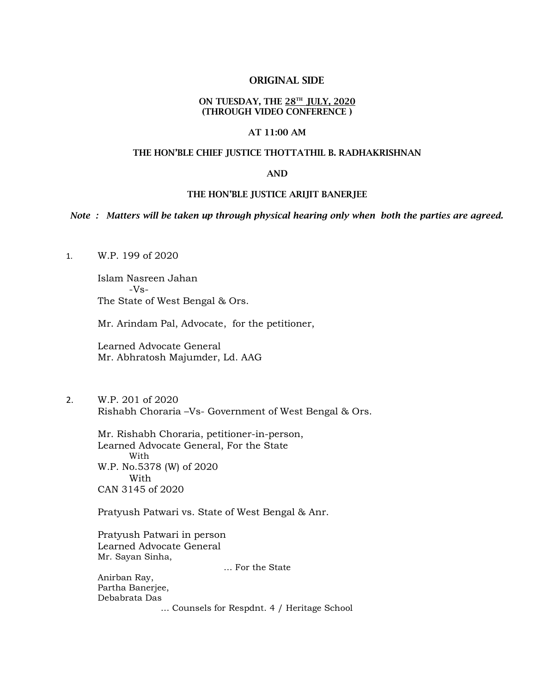# ORIGINAL SIDE

# ON TUESDAY, THE 28TH JULY, 2020 (THROUGH VIDEO CONFERENCE )

## AT 11:00 AM

#### THE HON'BLE CHIEF JUSTICE THOTTATHIL B. RADHAKRISHNAN

# AND

#### THE HON'BLE JUSTICE ARIJIT BANERJEE

# Note : Matters will be taken up through physical hearing only when both the parties are agreed.

# 1. W.P. 199 of 2020

 Islam Nasreen Jahan -Vs- The State of West Bengal & Ors.

Mr. Arindam Pal, Advocate, for the petitioner,

 Learned Advocate General Mr. Abhratosh Majumder, Ld. AAG

 2. W.P. 201 of 2020 Rishabh Choraria –Vs- Government of West Bengal & Ors.

 Mr. Rishabh Choraria, petitioner-in-person, Learned Advocate General, For the State With W.P. No.5378 (W) of 2020 With CAN 3145 of 2020

Pratyush Patwari vs. State of West Bengal & Anr.

 Pratyush Patwari in person Learned Advocate General Mr. Sayan Sinha,

… For the State

 Anirban Ray, Partha Banerjee, Debabrata Das … Counsels for Respdnt. 4 / Heritage School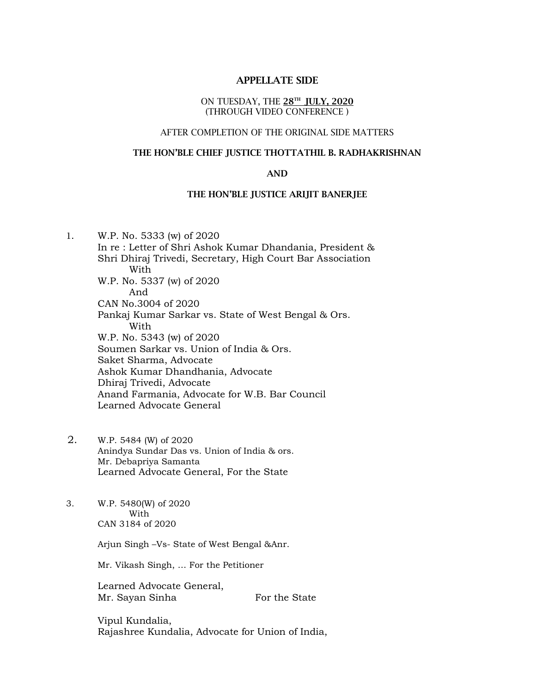# APPELLATE SIDE

# ON TUESDAY, THE  $28<sup>TH</sup>$  JULY, 2020 (THROUGH VIDEO CONFERENCE )

# AFTER COMPLETION OF THE ORIGINAL SIDE MATTERS

### THE HON'BLE CHIEF JUSTICE THOTTATHIL B. RADHAKRISHNAN

### AND

### THE HON'BLE JUSTICE ARIJIT BANERJEE

- 1. W.P. No. 5333 (w) of 2020 In re : Letter of Shri Ashok Kumar Dhandania, President & Shri Dhiraj Trivedi, Secretary, High Court Bar Association With W.P. No. 5337 (w) of 2020 And CAN No.3004 of 2020 Pankaj Kumar Sarkar vs. State of West Bengal & Ors. With W.P. No. 5343 (w) of 2020 Soumen Sarkar vs. Union of India & Ors. Saket Sharma, Advocate Ashok Kumar Dhandhania, Advocate Dhiraj Trivedi, Advocate Anand Farmania, Advocate for W.B. Bar Council Learned Advocate General
- 2. W.P. 5484 (W) of 2020 Anindya Sundar Das vs. Union of India & ors. Mr. Debapriya Samanta Learned Advocate General, For the State
- 3. W.P. 5480(W) of 2020 With CAN 3184 of 2020

Arjun Singh –Vs- State of West Bengal &Anr.

Mr. Vikash Singh, … For the Petitioner

 Learned Advocate General, Mr. Sayan Sinha For the State

Vipul Kundalia, Rajashree Kundalia, Advocate for Union of India,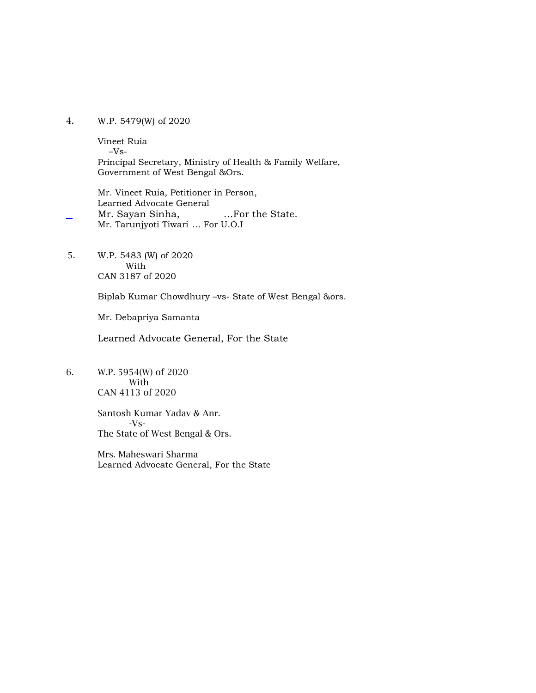# 4. W.P. 5479(W) of 2020

 Vineet Ruia  $-Vs-$  Principal Secretary, Ministry of Health & Family Welfare, Government of West Bengal &Ors.

 Mr. Vineet Ruia, Petitioner in Person, Learned Advocate General Mr. Sayan Sinha, …For the State. Mr. Tarunjyoti Tiwari … For U.O.I

5. W.P. 5483 (W) of 2020 With CAN 3187 of 2020

Biplab Kumar Chowdhury –vs- State of West Bengal &ors.

Mr. Debapriya Samanta

Learned Advocate General, For the State

 6. W.P. 5954(W) of 2020 With CAN 4113 of 2020

> Santosh Kumar Yadav & Anr. -Vs- The State of West Bengal & Ors.

 Mrs. Maheswari Sharma Learned Advocate General, For the State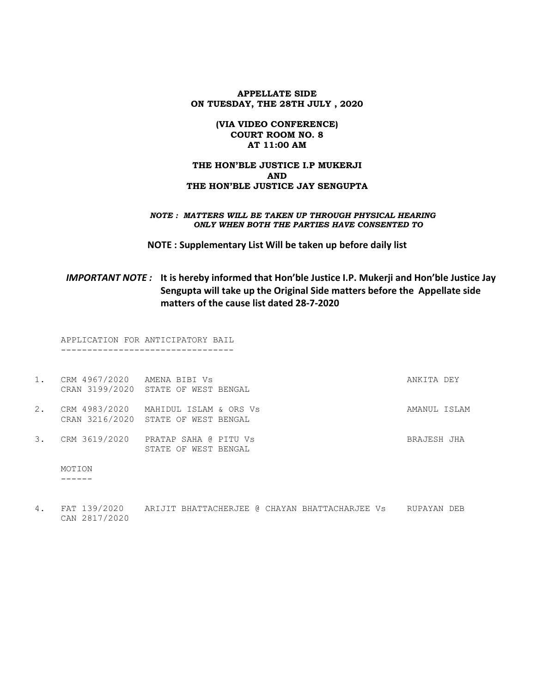## APPELLATE SIDE ON TUESDAY, THE 28TH JULY , 2020

# (VIA VIDEO CONFERENCE) COURT ROOM NO. 8 AT 11:00 AM

# THE HON'BLE JUSTICE I.P MUKERJI AND THE HON'BLE JUSTICE JAY SENGUPTA

#### NOTE : MATTERS WILL BE TAKEN UP THROUGH PHYSICAL HEARING ONLY WHEN BOTH THE PARTIES HAVE CONSENTED TO

NOTE : Supplementary List Will be taken up before daily list

# IMPORTANT NOTE : It is hereby informed that Hon'ble Justice I.P. Mukerji and Hon'ble Justice Jay Sengupta will take up the Original Side matters before the Appellate side matters of the cause list dated 28-7-2020

 APPLICATION FOR ANTICIPATORY BAIL ---------------------------------

| 1. | CRM 4967/2020 AMENA BIBI Vs<br>CRAN 3199/2020 STATE OF WEST BENGAL          |                                               | ANKITA DEY   |  |
|----|-----------------------------------------------------------------------------|-----------------------------------------------|--------------|--|
| 2. | CRM 4983/2020 MAHIDUL ISLAM & ORS Vs<br>CRAN 3216/2020 STATE OF WEST BENGAL |                                               | AMANUL ISLAM |  |
|    | 3. CRM 3619/2020                                                            | PRATAP SAHA @ PITU Vs<br>STATE OF WEST BENGAL | BRAJESH JHA  |  |

| MOTION |
|--------|
|        |

4. FAT 139/2020 ARIJIT BHATTACHERJEE @ CHAYAN BHATTACHARJEE Vs RUPAYAN DEB CAN 2817/2020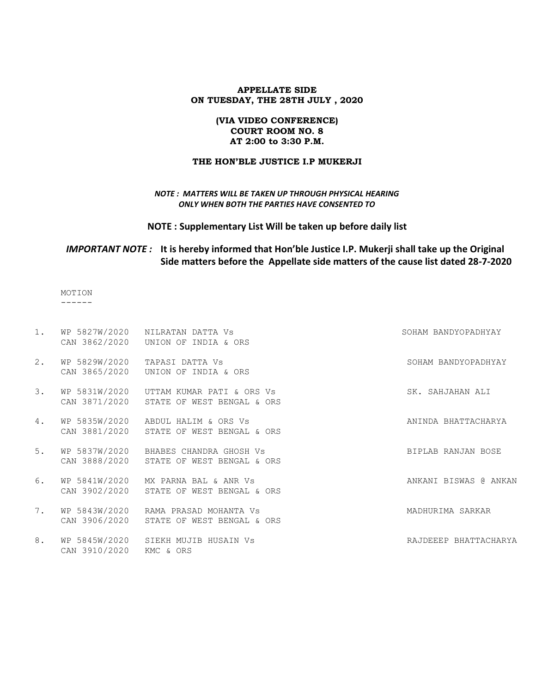#### APPELLATE SIDE ON TUESDAY, THE 28TH JULY , 2020

# (VIA VIDEO CONFERENCE) COURT ROOM NO. 8 AT 2:00 to 3:30 P.M.

#### THE HON'BLE JUSTICE I.P MUKERJI

# NOTE : MATTERS WILL BE TAKEN UP THROUGH PHYSICAL HEARING ONLY WHEN BOTH THE PARTIES HAVE CONSENTED TO

# NOTE : Supplementary List Will be taken up before daily list

# IMPORTANT NOTE : It is hereby informed that Hon'ble Justice I.P. Mukerji shall take up the Original Side matters before the Appellate side matters of the cause list dated 28-7-2020

 MOTION ------

| 1. | WP 5827W/2020 | NILRATAN DATTA Vs<br>CAN 3862/2020 UNION OF INDIA & ORS                             | SOHAM BANDYOPADHYAY   |
|----|---------------|-------------------------------------------------------------------------------------|-----------------------|
| 2. |               | WP 5829W/2020 TAPASI DATTA Vs<br>CAN 3865/2020 UNION OF INDIA & ORS                 | SOHAM BANDYOPADHYAY   |
| 3. |               | WP 5831W/2020 UTTAM KUMAR PATI & ORS Vs<br>CAN 3871/2020 STATE OF WEST BENGAL & ORS | SK. SAHJAHAN ALI      |
| 4. |               | WP 5835W/2020 ABDUL HALIM & ORS Vs<br>CAN 3881/2020 STATE OF WEST BENGAL & ORS      | ANINDA BHATTACHARYA   |
| 5. |               | WP 5837W/2020 BHABES CHANDRA GHOSH Vs<br>CAN 3888/2020 STATE OF WEST BENGAL & ORS   | BIPLAB RANJAN BOSE    |
| 6. |               | WP 5841W/2020 MX PARNA BAL & ANR Vs<br>CAN 3902/2020 STATE OF WEST BENGAL & ORS     | ANKANI BISWAS @ ANKAN |
| 7. |               | WP 5843W/2020 RAMA PRASAD MOHANTA Vs<br>CAN 3906/2020 STATE OF WEST BENGAL & ORS    | MADHURIMA SARKAR      |
| 8. | CAN 3910/2020 | WP 5845W/2020 SIEKH MUJIB HUSAIN Vs<br>KMC & ORS                                    | RAJDEEEP BHATTACHARYA |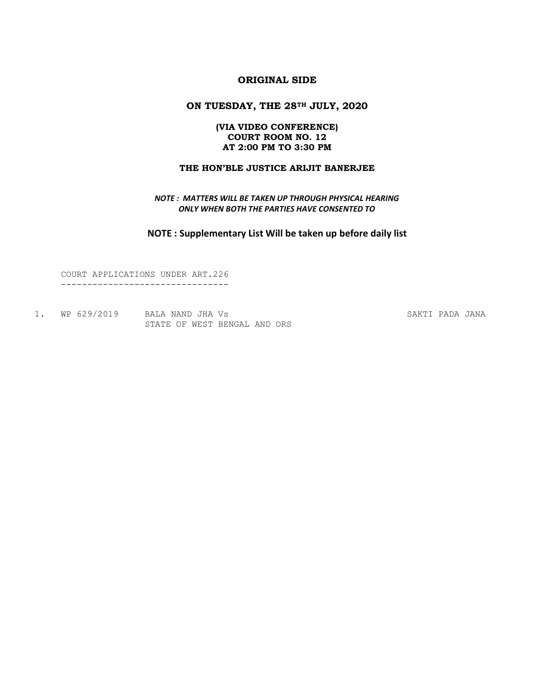# ORIGINAL SIDE

# ON TUESDAY, THE 28<sup>TH</sup> JULY, 2020

# (VIA VIDEO CONFERENCE) COURT ROOM NO. 12 AT 2:00 PM TO 3:30 PM

# THE HON'BLE JUSTICE ARIJIT BANERJEE

NOTE : MATTERS WILL BE TAKEN UP THROUGH PHYSICAL HEARING ONLY WHEN BOTH THE PARTIES HAVE CONSENTED TO

NOTE : Supplementary List Will be taken up before daily list

 COURT APPLICATIONS UNDER ART.226 --------------------------------

1. WP 629/2019 BALA NAND JHA Vs SAKTI PADA JANA STATE OF WEST BENGAL AND ORS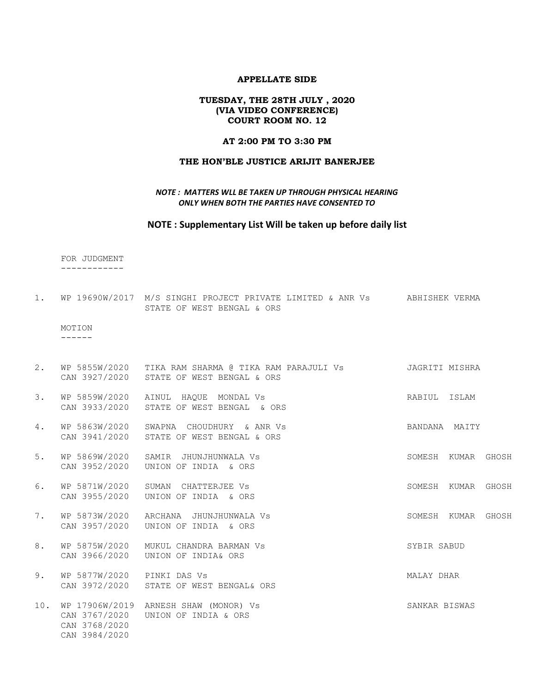# APPELLATE SIDE

### TUESDAY, THE 28TH JULY , 2020 (VIA VIDEO CONFERENCE) COURT ROOM NO. 12

## AT 2:00 PM TO 3:30 PM

# THE HON'BLE JUSTICE ARIJIT BANERJEE

# NOTE : MATTERS WLL BE TAKEN UP THROUGH PHYSICAL HEARING ONLY WHEN BOTH THE PARTIES HAVE CONSENTED TO

# NOTE : Supplementary List Will be taken up before daily list

FOR JUDGMENT

------------

|     |                                | 1. WP 19690W/2017 M/S SINGHI PROJECT PRIVATE LIMITED & ANR Vs ABHISHEK VERMA<br>STATE OF WEST BENGAL & ORS                                         |                    |
|-----|--------------------------------|----------------------------------------------------------------------------------------------------------------------------------------------------|--------------------|
|     | MOTION<br>------               |                                                                                                                                                    |                    |
| 2.  |                                | WP 5855W/2020 TIKA RAM SHARMA @ TIKA RAM PARAJULI Vs 5855W/2020 TIKA RAM SHARMA @ TIKA RAM PARAJULI Vs<br>CAN 3927/2020 STATE OF WEST BENGAL & ORS |                    |
| 3.  | CAN 3933/2020                  | WP 5859W/2020 AINUL HAOUE MONDAL Vs<br>STATE OF WEST BENGAL & ORS                                                                                  | RABIUL ISLAM       |
| 4.  | CAN 3941/2020                  | WP 5863W/2020 SWAPNA CHOUDHURY & ANR Vs<br>STATE OF WEST BENGAL & ORS                                                                              | BANDANA MAITY      |
| 5.  | WP 5869W/2020                  | SAMIR JHUNJHUNWALA VS<br>CAN 3952/2020 UNION OF INDIA & ORS                                                                                        | SOMESH KUMAR GHOSH |
| 6.  | CAN 3955/2020                  | WP 5871W/2020 SUMAN CHATTERJEE Vs<br>UNION OF INDIA & ORS                                                                                          | SOMESH KUMAR GHOSH |
| 7.  | CAN 3957/2020                  | WP 5873W/2020 ARCHANA JHUNJHUNWALA Vs<br>UNION OF INDIA & ORS                                                                                      | SOMESH KUMAR GHOSH |
| 8.  |                                | WP 5875W/2020 MUKUL CHANDRA BARMAN Vs<br>CAN 3966/2020 UNION OF INDIA& ORS                                                                         | SYBIR SABUD        |
| 9.  | WP 5877W/2020 PINKI DAS Vs     | CAN 3972/2020 STATE OF WEST BENGAL& ORS                                                                                                            | MALAY DHAR         |
| 10. | CAN 3768/2020<br>CAN 3984/2020 | WP 17906W/2019 ARNESH SHAW (MONOR) Vs<br>CAN 3767/2020 UNION OF INDIA & ORS                                                                        | SANKAR BISWAS      |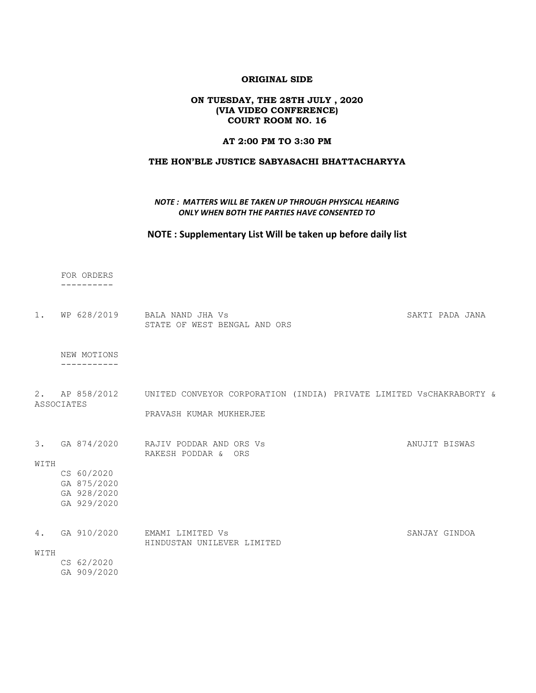#### ORIGINAL SIDE

# ON TUESDAY, THE 28TH JULY , 2020 (VIA VIDEO CONFERENCE) COURT ROOM NO. 16

#### AT 2:00 PM TO 3:30 PM

#### THE HON'BLE JUSTICE SABYASACHI BHATTACHARYYA

### NOTE : MATTERS WILL BE TAKEN UP THROUGH PHYSICAL HEARING ONLY WHEN BOTH THE PARTIES HAVE CONSENTED TO

### NOTE : Supplementary List Will be taken up before daily list

FOR ORDERS

----------

| WP 628/2019 | BALA NAND JHA Vs             | SAKTI PADA JANA |  |
|-------------|------------------------------|-----------------|--|
|             | STATE OF WEST BENGAL AND ORS |                 |  |

 NEW MOTIONS -----------

2. AP 858/2012 UNITED CONVEYOR CORPORATION (INDIA) PRIVATE LIMITED VsCHAKRABORTY & ASSOCIATES

PRAVASH KUMAR MUKHERJEE

3. GA 874/2020 RAJIV PODDAR AND ORS Vs **ANUJIT BISWAS**  RAKESH PODDAR & ORS WITH

 CS 60/2020 GA 875/2020 GA 928/2020 GA 929/2020

4. GA 910/2020 EMAMI LIMITED Vs SANJAY GINDOA HINDUSTAN UNILEVER LIMITED WITH CS 62/2020

GA 909/2020